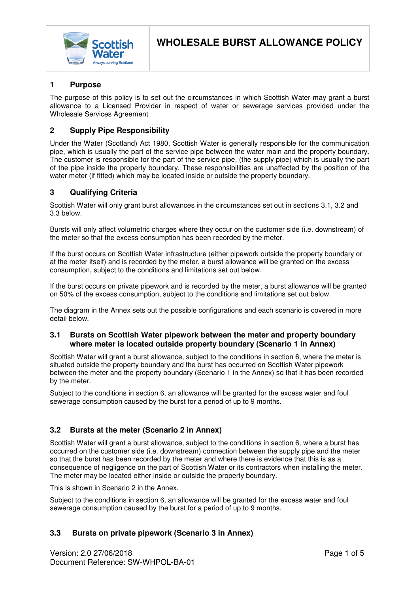

## **1 Purpose**

The purpose of this policy is to set out the circumstances in which Scottish Water may grant a burst allowance to a Licensed Provider in respect of water or sewerage services provided under the Wholesale Services Agreement.

## **2 Supply Pipe Responsibility**

Under the Water (Scotland) Act 1980, Scottish Water is generally responsible for the communication pipe, which is usually the part of the service pipe between the water main and the property boundary. The customer is responsible for the part of the service pipe, (the supply pipe) which is usually the part of the pipe inside the property boundary. These responsibilities are unaffected by the position of the water meter (if fitted) which may be located inside or outside the property boundary.

## **3 Qualifying Criteria**

Scottish Water will only grant burst allowances in the circumstances set out in sections 3.1, 3.2 and 3.3 below.

Bursts will only affect volumetric charges where they occur on the customer side (i.e. downstream) of the meter so that the excess consumption has been recorded by the meter.

If the burst occurs on Scottish Water infrastructure (either pipework outside the property boundary or at the meter itself) and is recorded by the meter, a burst allowance will be granted on the excess consumption, subject to the conditions and limitations set out below.

If the burst occurs on private pipework and is recorded by the meter, a burst allowance will be granted on 50% of the excess consumption, subject to the conditions and limitations set out below.

The diagram in the Annex sets out the possible configurations and each scenario is covered in more detail below.

#### **3.1 Bursts on Scottish Water pipework between the meter and property boundary where meter is located outside property boundary (Scenario 1 in Annex)**

Scottish Water will grant a burst allowance, subject to the conditions in section 6, where the meter is situated outside the property boundary and the burst has occurred on Scottish Water pipework between the meter and the property boundary (Scenario 1 in the Annex) so that it has been recorded by the meter.

Subject to the conditions in section 6, an allowance will be granted for the excess water and foul sewerage consumption caused by the burst for a period of up to 9 months.

## **3.2 Bursts at the meter (Scenario 2 in Annex)**

Scottish Water will grant a burst allowance, subject to the conditions in section 6, where a burst has occurred on the customer side (i.e. downstream) connection between the supply pipe and the meter so that the burst has been recorded by the meter and where there is evidence that this is as a consequence of negligence on the part of Scottish Water or its contractors when installing the meter. The meter may be located either inside or outside the property boundary.

This is shown in Scenario 2 in the Annex.

Subject to the conditions in section 6, an allowance will be granted for the excess water and foul sewerage consumption caused by the burst for a period of up to 9 months.

# **3.3 Bursts on private pipework (Scenario 3 in Annex)**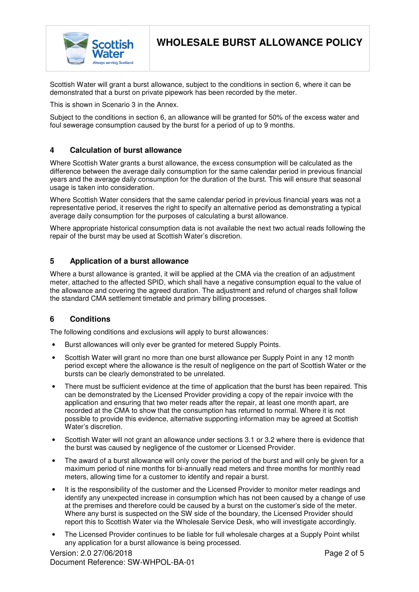

Scottish Water will grant a burst allowance, subject to the conditions in section 6, where it can be demonstrated that a burst on private pipework has been recorded by the meter.

This is shown in Scenario 3 in the Annex.

**Scottish** 

Subject to the conditions in section 6, an allowance will be granted for 50% of the excess water and foul sewerage consumption caused by the burst for a period of up to 9 months.

#### **4 Calculation of burst allowance**

Where Scottish Water grants a burst allowance, the excess consumption will be calculated as the difference between the average daily consumption for the same calendar period in previous financial years and the average daily consumption for the duration of the burst. This will ensure that seasonal usage is taken into consideration.

Where Scottish Water considers that the same calendar period in previous financial years was not a representative period, it reserves the right to specify an alternative period as demonstrating a typical average daily consumption for the purposes of calculating a burst allowance.

Where appropriate historical consumption data is not available the next two actual reads following the repair of the burst may be used at Scottish Water's discretion.

#### **5 Application of a burst allowance**

Where a burst allowance is granted, it will be applied at the CMA via the creation of an adjustment meter, attached to the affected SPID, which shall have a negative consumption equal to the value of the allowance and covering the agreed duration. The adjustment and refund of charges shall follow the standard CMA settlement timetable and primary billing processes.

#### **6 Conditions**

The following conditions and exclusions will apply to burst allowances:

- Burst allowances will only ever be granted for metered Supply Points.
- Scottish Water will grant no more than one burst allowance per Supply Point in any 12 month period except where the allowance is the result of negligence on the part of Scottish Water or the bursts can be clearly demonstrated to be unrelated.
- There must be sufficient evidence at the time of application that the burst has been repaired. This can be demonstrated by the Licensed Provider providing a copy of the repair invoice with the application and ensuring that two meter reads after the repair, at least one month apart, are recorded at the CMA to show that the consumption has returned to normal. Where it is not possible to provide this evidence, alternative supporting information may be agreed at Scottish Water's discretion.
- Scottish Water will not grant an allowance under sections 3.1 or 3.2 where there is evidence that the burst was caused by negligence of the customer or Licensed Provider.
- The award of a burst allowance will only cover the period of the burst and will only be given for a maximum period of nine months for bi-annually read meters and three months for monthly read meters, allowing time for a customer to identify and repair a burst.
- It is the responsibility of the customer and the Licensed Provider to monitor meter readings and identify any unexpected increase in consumption which has not been caused by a change of use at the premises and therefore could be caused by a burst on the customer's side of the meter. Where any burst is suspected on the SW side of the boundary, the Licensed Provider should report this to Scottish Water via the Wholesale Service Desk, who will investigate accordingly.
- The Licensed Provider continues to be liable for full wholesale charges at a Supply Point whilst any application for a burst allowance is being processed.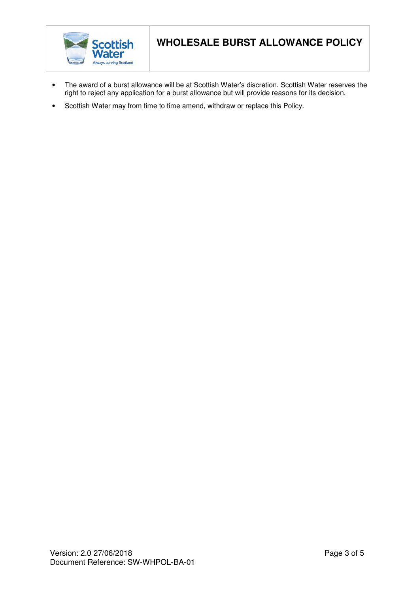

- The award of a burst allowance will be at Scottish Water's discretion. Scottish Water reserves the right to reject any application for a burst allowance but will provide reasons for its decision.
- Scottish Water may from time to time amend, withdraw or replace this Policy.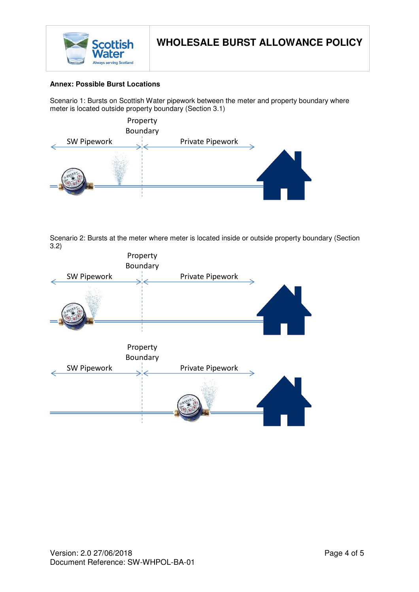

### **Annex: Possible Burst Locations**

Scenario 1: Bursts on Scottish Water pipework between the meter and property boundary where meter is located outside property boundary (Section 3.1)



Scenario 2: Bursts at the meter where meter is located inside or outside property boundary (Section 3.2)